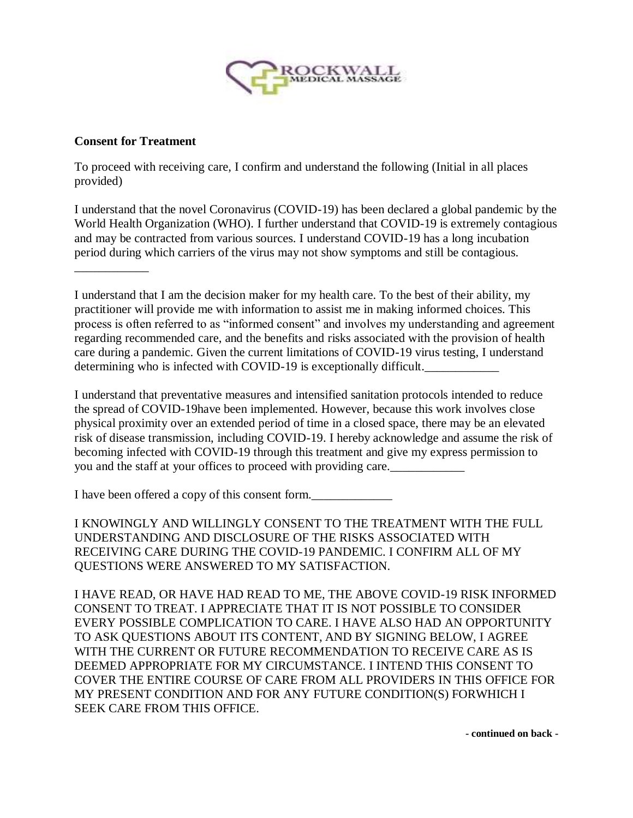

## **Consent for Treatment**

\_\_\_\_\_\_\_\_\_\_\_\_

To proceed with receiving care, I confirm and understand the following (Initial in all places provided)

I understand that the novel Coronavirus (COVID-19) has been declared a global pandemic by the World Health Organization (WHO). I further understand that COVID-19 is extremely contagious and may be contracted from various sources. I understand COVID-19 has a long incubation period during which carriers of the virus may not show symptoms and still be contagious.

I understand that I am the decision maker for my health care. To the best of their ability, my practitioner will provide me with information to assist me in making informed choices. This process is often referred to as "informed consent" and involves my understanding and agreement regarding recommended care, and the benefits and risks associated with the provision of health care during a pandemic. Given the current limitations of COVID-19 virus testing, I understand determining who is infected with COVID-19 is exceptionally difficult.

I understand that preventative measures and intensified sanitation protocols intended to reduce the spread of COVID-19have been implemented. However, because this work involves close physical proximity over an extended period of time in a closed space, there may be an elevated risk of disease transmission, including COVID-19. I hereby acknowledge and assume the risk of becoming infected with COVID-19 through this treatment and give my express permission to you and the staff at your offices to proceed with providing care.

I have been offered a copy of this consent form.

I KNOWINGLY AND WILLINGLY CONSENT TO THE TREATMENT WITH THE FULL UNDERSTANDING AND DISCLOSURE OF THE RISKS ASSOCIATED WITH RECEIVING CARE DURING THE COVID-19 PANDEMIC. I CONFIRM ALL OF MY QUESTIONS WERE ANSWERED TO MY SATISFACTION.

I HAVE READ, OR HAVE HAD READ TO ME, THE ABOVE COVID-19 RISK INFORMED CONSENT TO TREAT. I APPRECIATE THAT IT IS NOT POSSIBLE TO CONSIDER EVERY POSSIBLE COMPLICATION TO CARE. I HAVE ALSO HAD AN OPPORTUNITY TO ASK QUESTIONS ABOUT ITS CONTENT, AND BY SIGNING BELOW, I AGREE WITH THE CURRENT OR FUTURE RECOMMENDATION TO RECEIVE CARE AS IS DEEMED APPROPRIATE FOR MY CIRCUMSTANCE. I INTEND THIS CONSENT TO COVER THE ENTIRE COURSE OF CARE FROM ALL PROVIDERS IN THIS OFFICE FOR MY PRESENT CONDITION AND FOR ANY FUTURE CONDITION(S) FORWHICH I SEEK CARE FROM THIS OFFICE.

**- continued on back -**